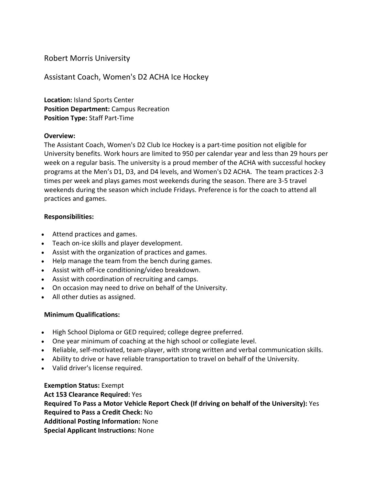# Robert Morris University

Assistant Coach, Women's D2 ACHA Ice Hockey

**Location:** Island Sports Center **Position Department:** Campus Recreation **Position Type:** Staff Part-Time

## **Overview:**

The Assistant Coach, Women's D2 Club Ice Hockey is a part-time position not eligible for University benefits. Work hours are limited to 950 per calendar year and less than 29 hours per week on a regular basis. The university is a proud member of the ACHA with successful hockey programs at the Men's D1, D3, and D4 levels, and Women's D2 ACHA. The team practices 2-3 times per week and plays games most weekends during the season. There are 3-5 travel weekends during the season which include Fridays. Preference is for the coach to attend all practices and games.

## **Responsibilities:**

- Attend practices and games.
- Teach on-ice skills and player development.
- Assist with the organization of practices and games.
- Help manage the team from the bench during games.
- Assist with off-ice conditioning/video breakdown.
- Assist with coordination of recruiting and camps.
- On occasion may need to drive on behalf of the University.
- All other duties as assigned.

## **Minimum Qualifications:**

- High School Diploma or GED required; college degree preferred.
- One year minimum of coaching at the high school or collegiate level.
- Reliable, self-motivated, team-player, with strong written and verbal communication skills.
- Ability to drive or have reliable transportation to travel on behalf of the University.
- Valid driver's license required.

**Exemption Status:** Exempt **Act 153 Clearance Required:** Yes **Required To Pass a Motor Vehicle Report Check (If driving on behalf of the University):** Yes **Required to Pass a Credit Check:** No **Additional Posting Information:** None **Special Applicant Instructions:** None